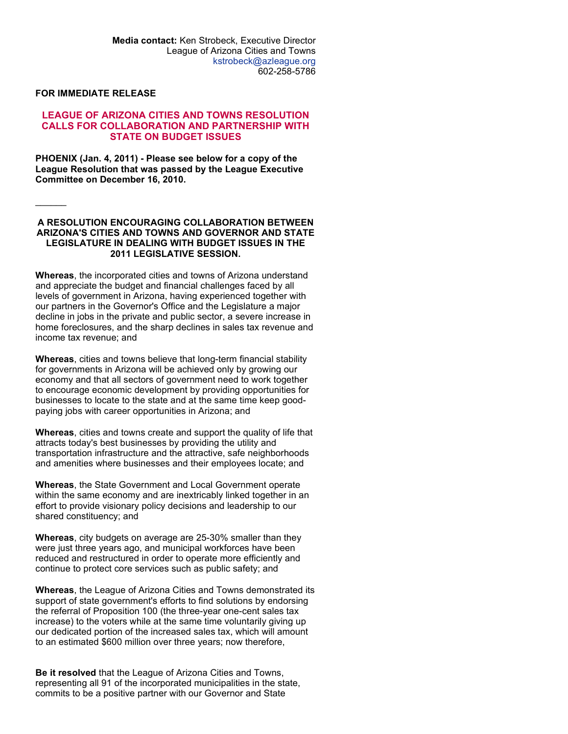## FOR IMMEDIATE RELEASE

 $\frac{1}{2}$ 

## LEAGUE OF ARIZONA CITIES AND TOWNS RESOLUTION CALLS FOR COLLABORATION AND PARTNERSHIP WITH STATE ON BUDGET ISSUES

PHOENIX (Jan. 4, 2011) - Please see below for a copy of the League Resolution that was passed by the League Executive Committee on December 16, 2010.

## A RESOLUTION ENCOURAGING COLLABORATION BETWEEN ARIZONA'S CITIES AND TOWNS AND GOVERNOR AND STATE LEGISLATURE IN DEALING WITH BUDGET ISSUES IN THE 2011 LEGISLATIVE SESSION.

Whereas, the incorporated cities and towns of Arizona understand and appreciate the budget and financial challenges faced by all levels of government in Arizona, having experienced together with our partners in the Governor's Office and the Legislature a major decline in jobs in the private and public sector, a severe increase in home foreclosures, and the sharp declines in sales tax revenue and income tax revenue; and

Whereas, cities and towns believe that long-term financial stability for governments in Arizona will be achieved only by growing our economy and that all sectors of government need to work together to encourage economic development by providing opportunities for businesses to locate to the state and at the same time keep goodpaying jobs with career opportunities in Arizona; and

Whereas, cities and towns create and support the quality of life that attracts today's best businesses by providing the utility and transportation infrastructure and the attractive, safe neighborhoods and amenities where businesses and their employees locate; and

Whereas, the State Government and Local Government operate within the same economy and are inextricably linked together in an effort to provide visionary policy decisions and leadership to our shared constituency; and

Whereas, city budgets on average are 25-30% smaller than they were just three years ago, and municipal workforces have been reduced and restructured in order to operate more efficiently and continue to protect core services such as public safety; and

Whereas, the League of Arizona Cities and Towns demonstrated its support of state government's efforts to find solutions by endorsing the referral of Proposition 100 (the three-year one-cent sales tax increase) to the voters while at the same time voluntarily giving up our dedicated portion of the increased sales tax, which will amount to an estimated \$600 million over three years; now therefore,

Be it resolved that the League of Arizona Cities and Towns, representing all 91 of the incorporated municipalities in the state, commits to be a positive partner with our Governor and State